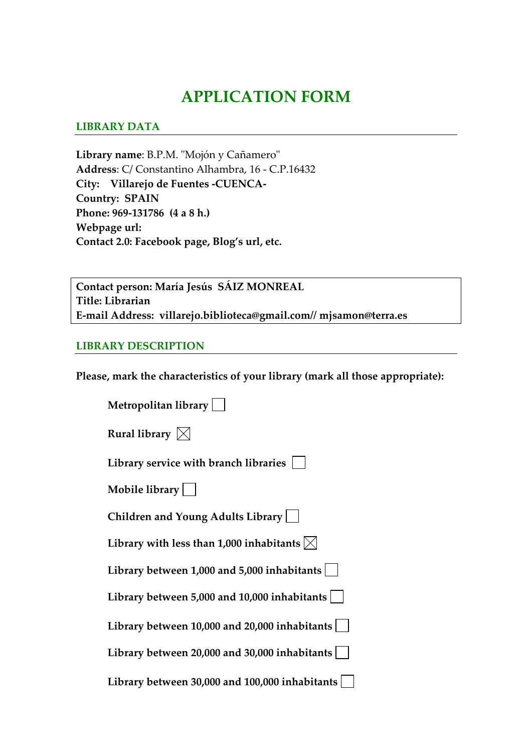# **APPLICATION FORM**

### **LIBRARY DATA**

Library name: B.P.M. "Mojón y Cañamero" **Address**: C/ Constantino Alhambra, 16 ‐ C.P.16432 **City: Villarejo de Fuentes ‐CUENCA‐ Country: SPAIN Phone: 969‐131786 (4 a 8 h.) Webpage url: Contact 2.0: Facebook page, Blog's url, etc.** 

**Contact person: María Jesús SÁIZ MONREAL Title: Librarian E‐mail Address: villarejo.biblioteca@gmail.com// mjsamon@terra.es**

#### **LIBRARY DESCRIPTION**

**Please, mark the characteristics of your library (mark all those appropriate):**

| Metropolitan library                                |
|-----------------------------------------------------|
| Rural library $\boxtimes$                           |
| Library service with branch libraries               |
| Mobile library $  \quad  $                          |
| Children and Young Adults Library                   |
| Library with less than 1,000 inhabitants $ \times $ |
| Library between 1,000 and 5,000 inhabitants $ $     |
| Library between 5,000 and 10,000 inhabitants        |
| Library between $10,000$ and $20,000$ inhabitants   |
| Library between 20,000 and 30,000 inhabitants       |
| Library between 30,000 and 100,000 inhabitants      |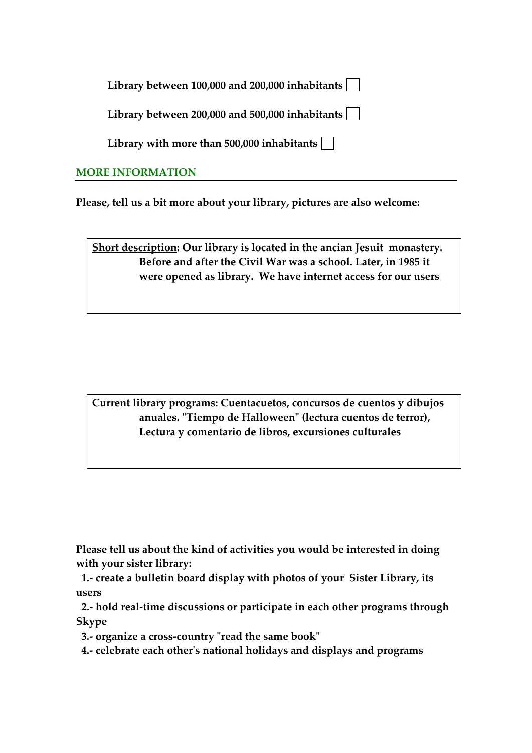| Library between 100,000 and 200,000 inhabitants $\lfloor$ |  |  |
|-----------------------------------------------------------|--|--|
|-----------------------------------------------------------|--|--|

**Library between 200,000 and 500,000 inhabitants**

**Library with more than 500,000 inhabitants**

## **MORE INFORMATION**

**Please, tell us a bit more about your library, pictures are also welcome:** 

**Short description: Our library is located in the ancian Jesuit monastery. Before and after the Civil War was a school. Later, in 1985 it were opened as library. We have internet access for our users** 

**Current library programs: Cuentacuetos, concursos de cuentos y dibujos anuales. ʺTiempo de Halloweenʺ (lectura cuentos de terror), Lectura y comentario de libros, excursiones culturales**

**Please tell us about the kind of activities you would be interested in doing with your sister library:**

 **1.‐ create a bulletin board display with photos of your Sister Library, its users**

 **2.‐ hold real‐time discussions or participate in each other programs through Skype**

 **3.‐ organize a cross‐country ʺread the same bookʺ** 

 **4.‐ celebrate each otherʹs national holidays and displays and programs**